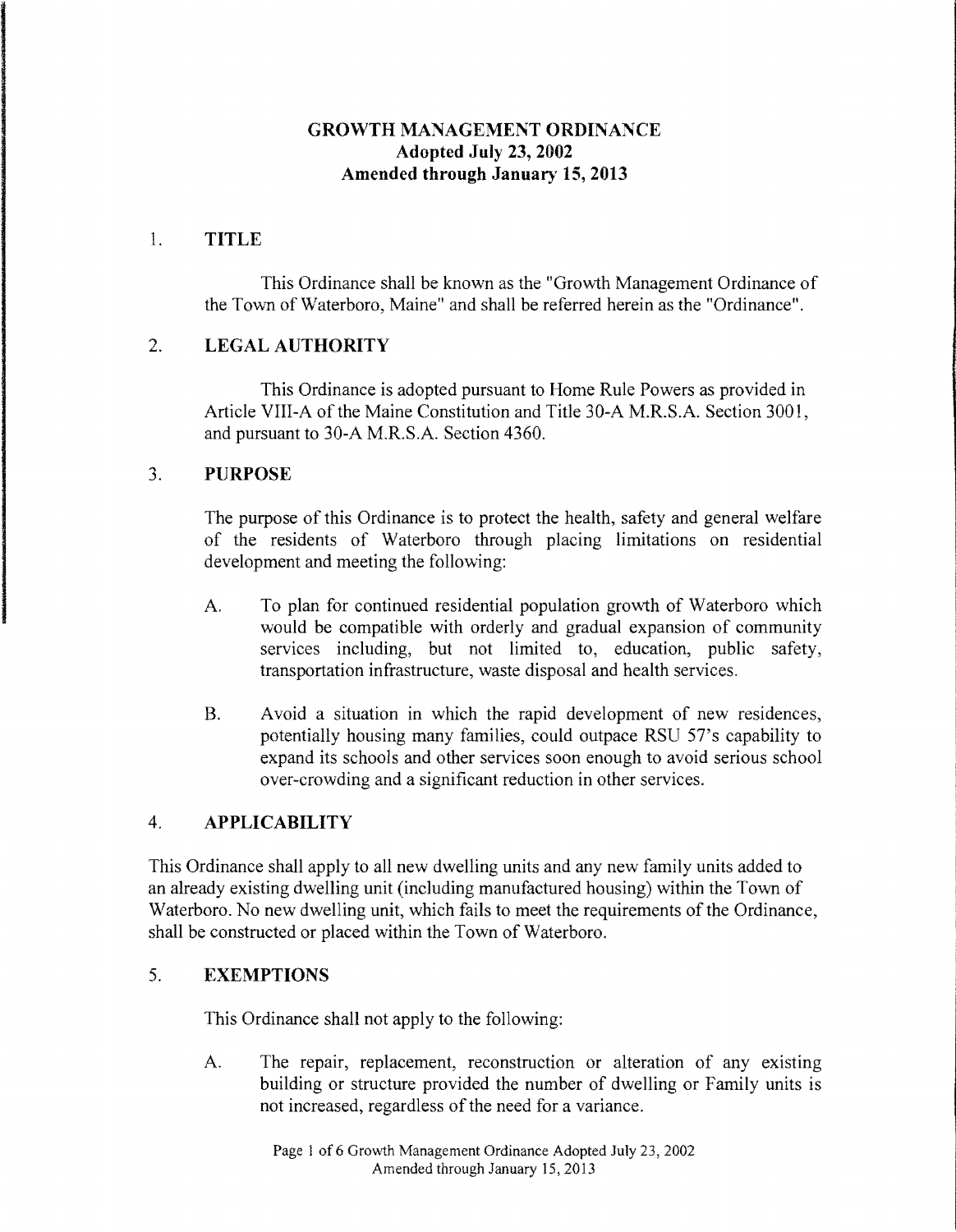#### **GROWTH MANAGEMENT ORDINANCE Adopted July 23, 2002 Amended through January 15, 2013**

#### 1. **TITLE**

This Ordinance shall be known as the "Growth Management Ordinance of the Tovvn of Waterboro, Maine" and shall be referred herein as the "Ordinance".

# 2. **LEGAL AUTHORITY**

This Ordinance is adopted pursuant to Home Rule Powers as provided in Article VIII-A of the Maine Constitution and Title 30-A M.R.S.A. Section 3001, and pursuant to 30-A M.R.S.A. Section 4360.

#### 3. **PURPOSE**

The purpose of this Ordinance is to protect the health, safety and general welfare of the residents of Waterboro through placing limitations on residential development and meeting the following:

- A. To plan for continued residential population grovvth of Waterboro which would be compatible with orderly and gradual expansion of community services including, but not limited to, education, public safety, transportation infrastructure, waste disposal and health services.
- B. Avoid a situation in which the rapid development of new residences, potentially housing many families, could outpace RSU 57's capability to expand its schools and other services soon enough to avoid serious school over-crowding and a significant reduction in other services.

#### 4. **APPLICABILITY**

This Ordinance shall apply to all new dwelling units and any new family units added to an already existing dwelling unit (including manufactured housing) within the Town of Waterboro. No new dwelling unit, which fails to meet the requirements of the Ordinance, shall be constructed or placed within the Town of Waterboro.

#### 5. **EXEMPTIONS**

This Ordinance shall not apply to the following:

A. The repair, replacement, reconstruction or alteration of any existing building or structure provided the number of dwelling or Family units is not increased, regardless of the need for a variance.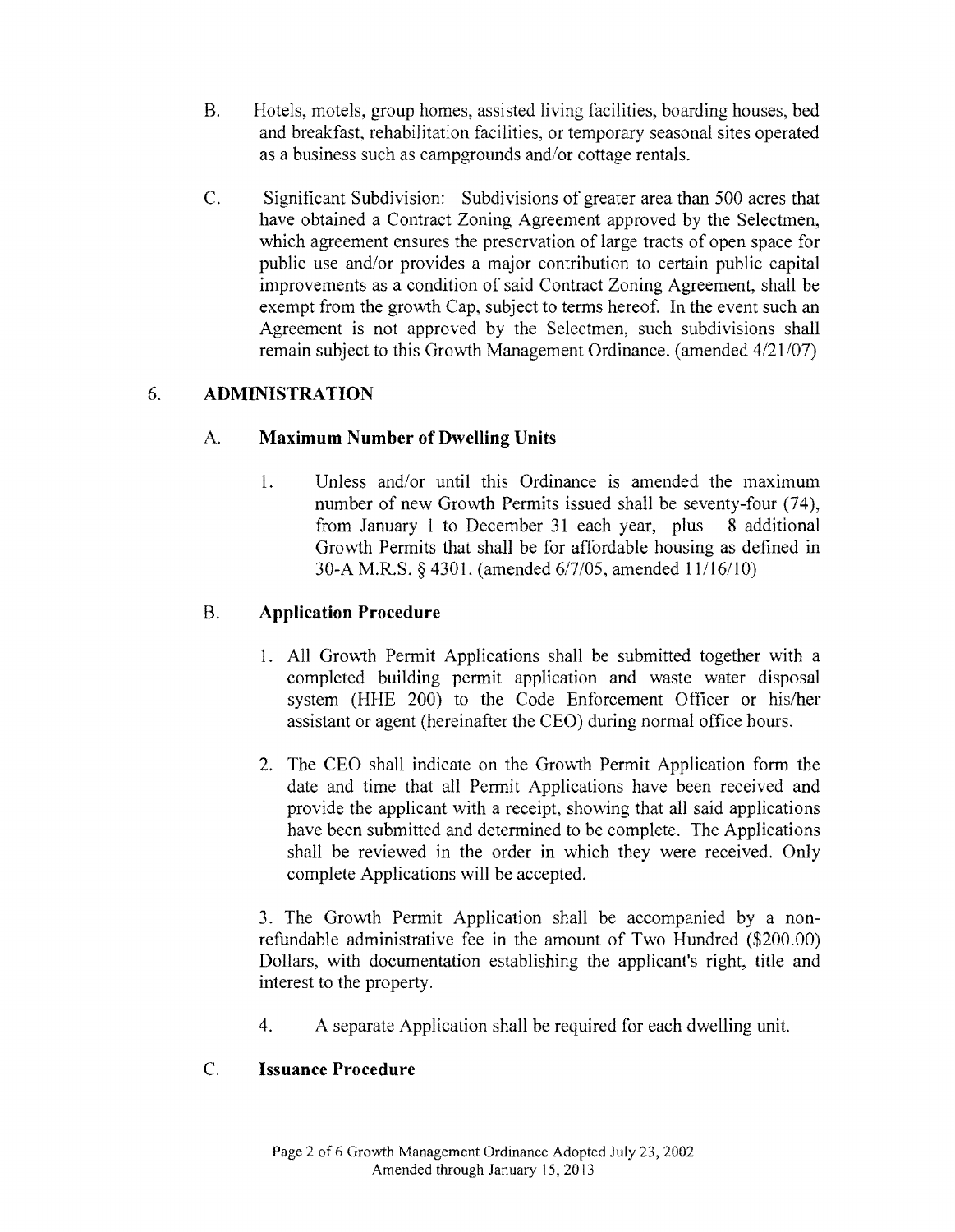- B. Hotels, motels, group homes, assisted living facilities, boarding houses, bed and breakfast, rehabilitation facilities, or temporary seasonal sites operated as a business such as campgrounds and/or cottage rentals.
- C. Significant Subdivision: Subdivisions of greater area than 500 acres that have obtained a Contract Zoning Agreement approved by the Selectmen, which agreement ensures the preservation of large tracts of open space for public use and/or provides a major contribution to certain public capital improvements as a condition of said Contract Zoning Agreement, shall be exempt from the growth Cap, subject to terms hereof. In the event such an Agreement is not approved by the Selectmen, such subdivisions shall remain subject to this Growth Management Ordinance. (amended  $4/21/07$ )

# 6. **ADMINISTRATION**

# A. **Maximum Number** of Dwelling **Units**

1. Unless and/or until this Ordinance is amended the maximum number of new Growth Permits issued shall be seventy-four (74), from January I to December 31 each year, plus 8 additional Growth Permits that shall be for affordable housing as defined in 30-A M.R.S. § 4301. (amended 6/7/05, amended 11/16/10)

# B. **Application Procedure**

- 1. All Growth Permit Applications shall be submitted together with a completed building permit application and waste water disposal system (HHE 200) to the Code Enforcement Officer or his/her assistant or agent (hereinafter the CEO) during normal office hours.
- 2. The CEO shall indicate on the Growth Permit Application form the date and time that all Permit Applications have been received and provide the applicant with a receipt, showing that all said applications have been submitted and determined to be complete. The Applications shall be reviewed in the order in which they were received. Only complete Applications will be accepted.

3. The Growth Permit Application shall be accompanied by a nonrefundable administrative fee in the amount of Two Hundred (\$200.00) Dollars, with documentation establishing the applicant's right, title and interest to the property.

4. A separate Application shall be required for each dwelling unit.

# C. **Issuance Procedure**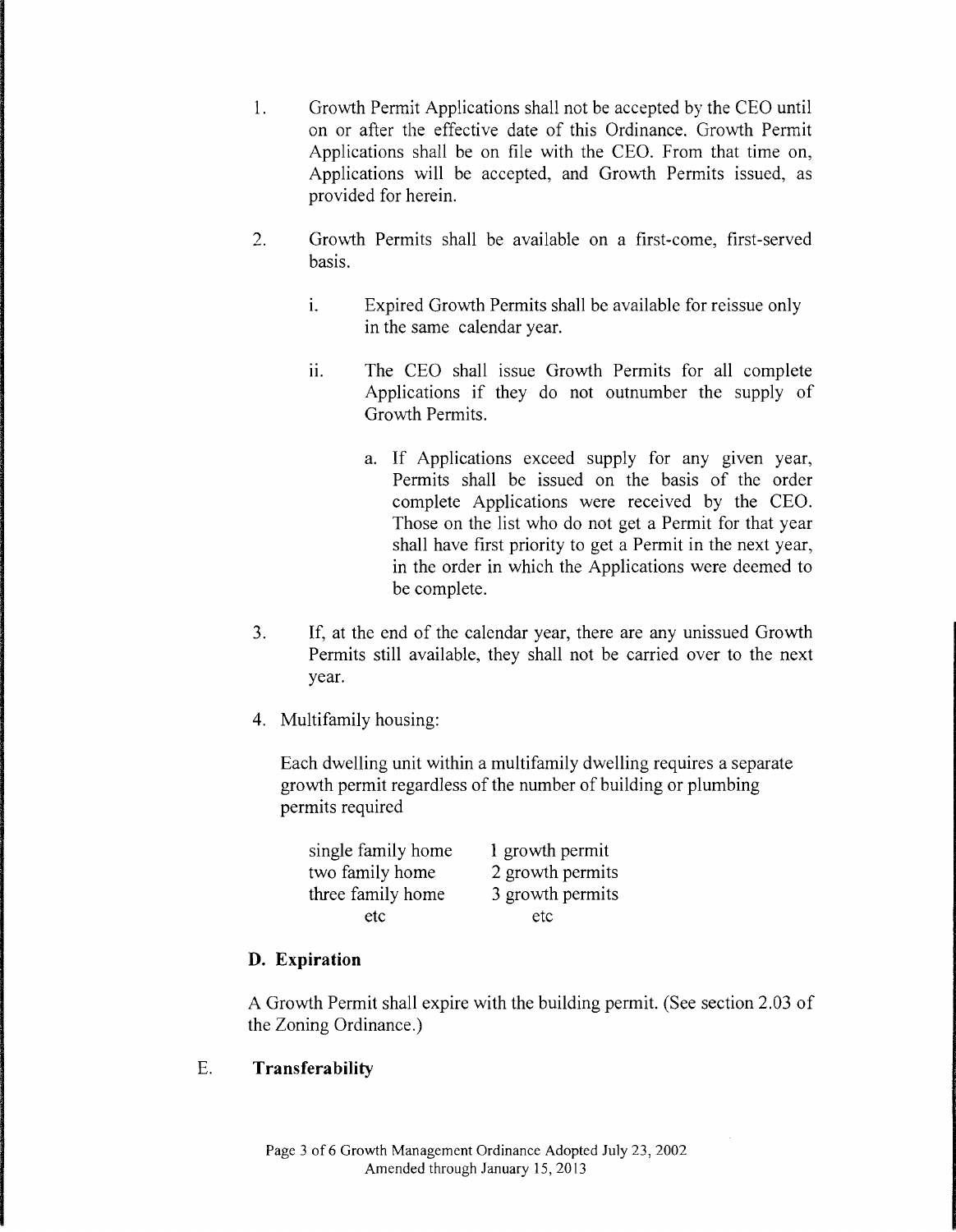- 1. Growth Permit Applications shall not be accepted by the CEO until on or after the effective date of this Ordinance. Growth Permit Applications shall be on file with the CEO. From that time on, Applications will be accepted, and Growth Permits issued, as provided for herein.
- 2. Growth Permits shall be available on a first-come, first-served basis.
	- i. Expired Growth Permits shall be available for reissue only in the same calendar year.
	- ii. The CEO shall issue Growth Permits for all complete Applications if they do not outnumber the supply of Growth Permits.
		- a. If Applications exceed supply for any given year, Permits shall be issued on the basis of the order complete Applications were received by the CEO. Those on the list who do not get a Permit for that year shall have first priority to get a Permit in the next year, in the order in which the Applications were deemed to be complete.
- 3. If, at the end of the calendar year, there are any unissued Growth Permits still available, they shall not be carried over to the next year.
- 4. Multifamily housing:

Each dwelling unit within a multifamily dwelling requires a separate growth permit regardless of the number of building or plumbing permits required

| single family home | 1 growth permit  |
|--------------------|------------------|
| two family home    | 2 growth permits |
| three family home  | 3 growth permits |
| etc                | etc              |

# **D. Expiration**

A Growth Permit shall expire with the building permit. (See section 2.03 of the Zoning Ordinance.)

# E. **Transferability**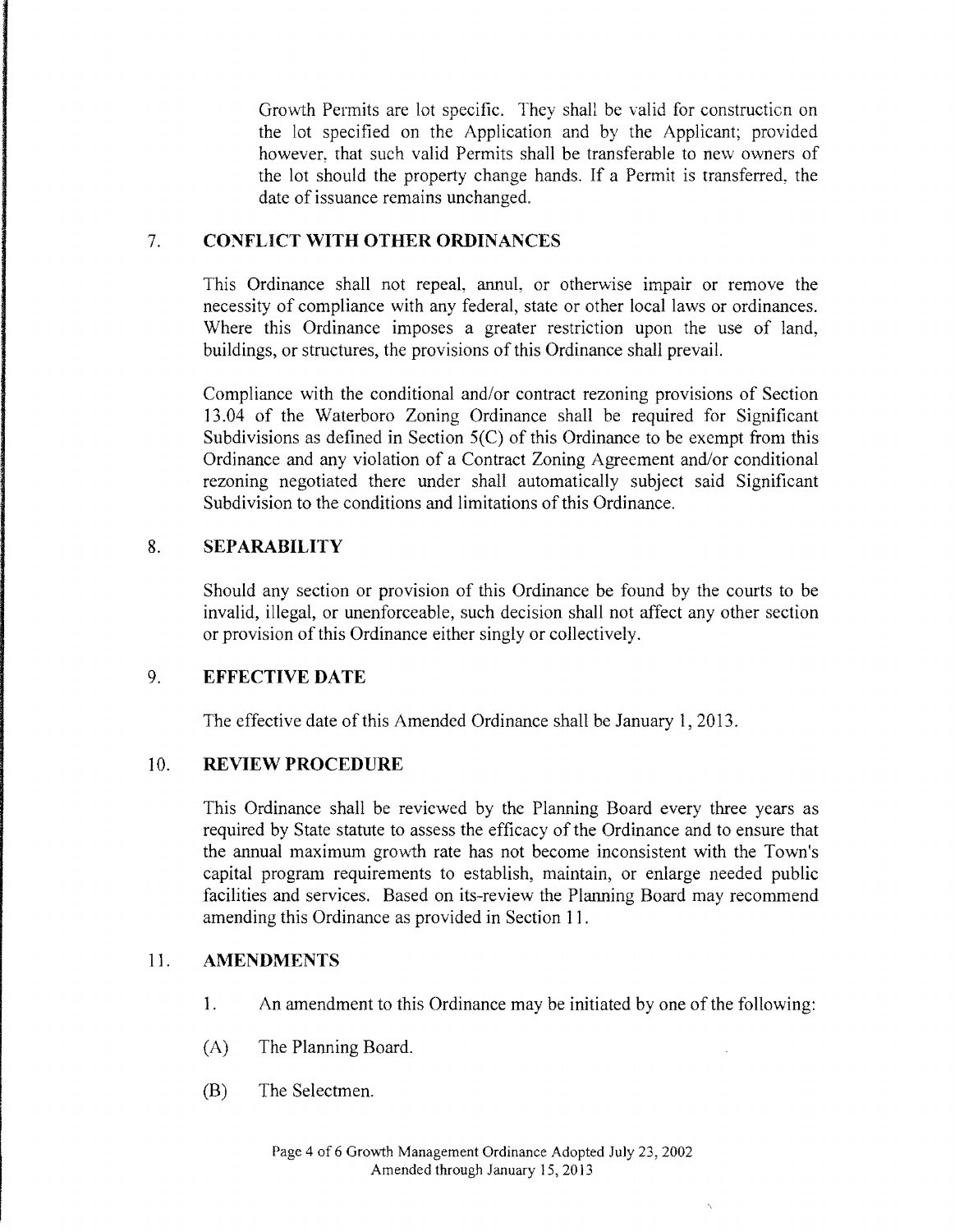Growth Permits are lot specific. They shall be valid for constructicn on the lot specified on the Application and by the Applicant; provided however, that such valid Permits shall be transferable to new owners of the lot should the property change hands. If a Permit is transferred, the date of issuance remains unchanged.

# 7. **CONFLICT \VITH OTHER ORDINANCES**

This Ordinance shall not repeal, annul, or otherwise impair or remove the necessity of compliance with any federal, state or other local laws or ordinances. Where this Ordinance imposes a greater restriction upon the use of land, buildings, or structures, the provisions of this Ordinance shall prevail.

Compliance with the conditional and/or contract rezoning provisions of Section 13.04 of the Waterboro Zoning Ordinance shall be required for Significant Subdivisions as defined in Section 5(C) of this Ordinance to be exempt from this Ordinance and any violation of a Contract Zoning Agreement and/or conditional rezoning negotiated there under shall automatically subject said Significant Subdivision to the conditions and limitations of this Ordinance.

#### 8. **SEPARABILITY**

Should any section or provision of this Ordinance be found by the courts to be invalid, illegal, or unenforceable, such decision shall not affect any other section or provision of this Ordinance either singly or collectively.

# 9. **EFFECTIVE DATE**

The effective date of this Amended Ordinance shall be January 1, 2013.

# 10. **REVIEW PROCEDURE**

This Ordinance shall be reviewed by the Planning Board every three years as required by State statute to assess the efficacy of the Ordinance and to ensure that the annual maximum growth rate has not become inconsistent with the Town's capital program requirements to establish, maintain, or enlarge needed public facilities and services. Based on its-review the Planning Board may recommend amending this Ordinance as provided in Section 11.

#### 11. **AMENDMENTS**

- 1. An amendment to this Ordinance may be initiated by one of the following:
- (A) The Planning Board.
- (B) The Selectmen.

 $\ddot{\phantom{0}}$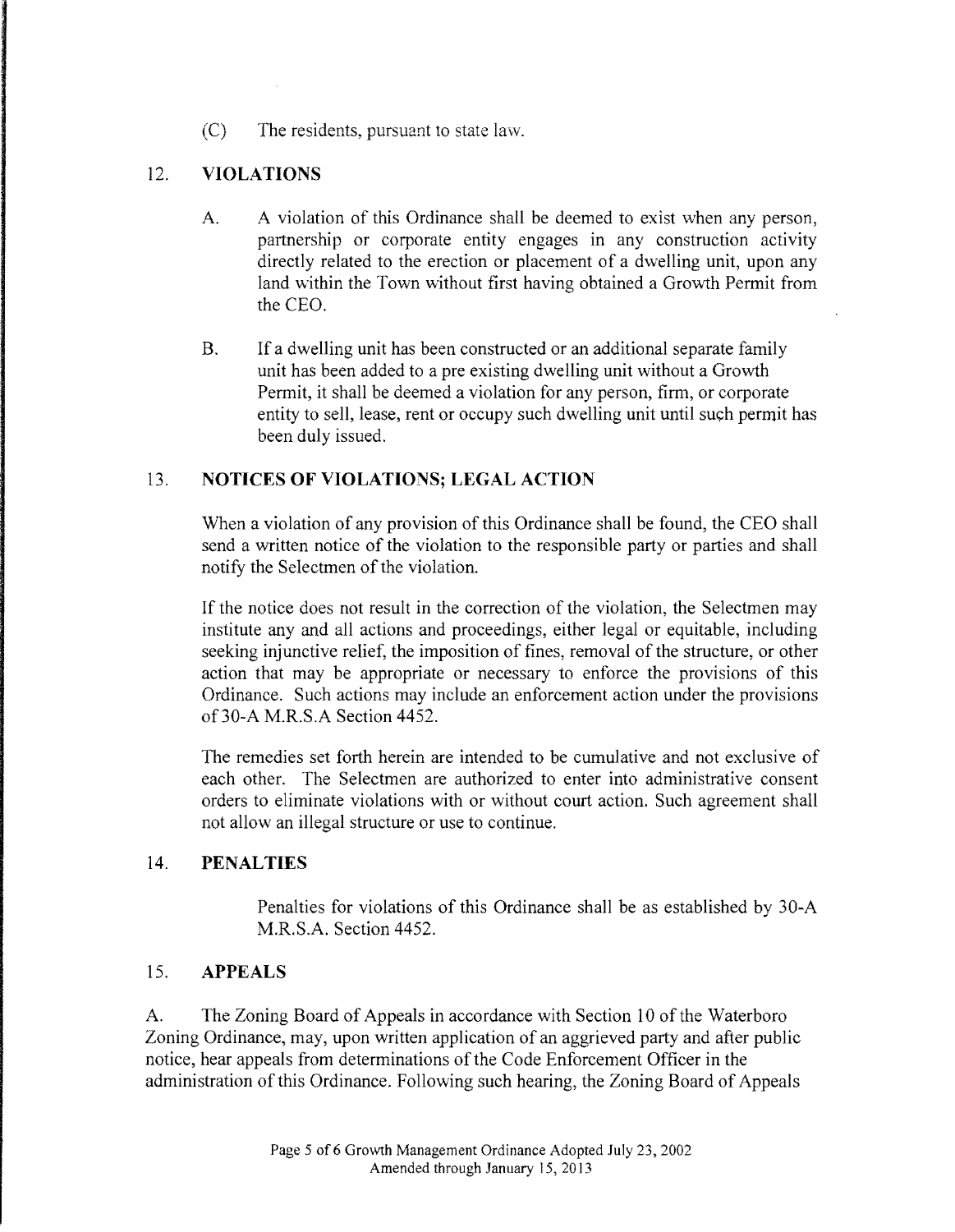(C) The residents, pursuant to state law.

# 12. **VIOLATIONS**

- A. A violation of this Ordinance shall be deemed to exist when any person, partnership or corporate entity engages in any construction activity directly related to the erection or placement of a dwelling unit, upon any land within the Town without first having obtained a Growth Permit from the CEO.
- B. If a dwelling unit has been constructed or an additional separate family unit has been added to a pre existing dwelling unit without a Growth Permit, it shall be deemed a violation for any person, firm, or corporate entity to sell, lease, rent or occupy such dwelling unit until such permit has been duly issued.

#### 13. **NOTICES OF VIOLATIONS; LEGAL ACTION**

When a violation of any provision of this Ordinance shall be found, the CEO shall send a written notice of the violation to the responsible party or parties and shall notify the Selectmen of the violation.

If the notice does not result in the correction of the violation, the Selectmen may institute any and all actions and proceedings, either legal or equitable, including seeking injunctive relief, the imposition of fines, removal of the structure, or other action that may be appropriate or necessary to enforce the provisions of this Ordinance. Such actions may include an enforcement action under the provisions of30-A M.R.S.A Section 4452.

The remedies set forth herein are intended to be cumulative and not exclusive of each other. The Selectmen are authorized to enter into administrative consent orders to eliminate violations with or without court action. Such agreement shall not allow an illegal structure or use to continue.

#### 14. **PENALTIES**

Penalties for violations of this Ordinance shall be as established by 30-A M.R.S.A. Section 4452.

#### 15. **APPEALS**

A. The Zoning Board of Appeals in accordance with Section 10 of the Waterboro Zoning Ordinance, may, upon written application of an aggrieved party and after public notice, hear appeals from determinations of the Code Enforcement Officer in the administration of this Ordinance. Following such hearing, the Zoning Board of Appeals